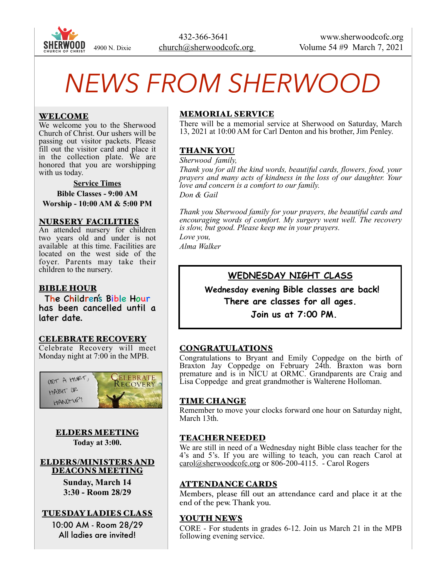

# *NEWS FROM SHERWOOD*

#### WELCOME

We welcome you to the Sherwood Church of Christ. Our ushers will be passing out visitor packets. Please fill out the visitor card and place it in the collection plate. We are honored that you are worshipping with us today.

**Service Times Bible Classes - 9:00 AM Worship - 10:00 AM & 5:00 PM** 

#### NURSERY FACILITIES

An attended nursery for children two years old and under is not available at this time. Facilities are located on the west side of the foyer. Parents may take their children to the nursery.

#### BIBLE HOUR

The Children's Bible Hour has been cancelled until a later date.

#### CELEBRATE RECOVERY

Celebrate Recovery will meet Monday night at 7:00 in the MPB.



## ELDERS MEETING

**Today at 3:00.** 

#### ELDERS/MINISTERS AND DEACONS MEETING

**Sunday, March 14 3:30 - Room 28/29** 

#### TUESDAY LADIES CLASS

10:00 AM - Room 28/29 All ladies are invited!

#### MEMORIAL SERVICE

There will be a memorial service at Sherwood on Saturday, March 13, 2021 at 10:00 AM for Carl Denton and his brother, Jim Penley.

#### THANK YOU

*Sherwood family,* 

*Thank you for all the kind words, beautiful cards, flowers, food, your prayers and many acts of kindness in the loss of our daughter. Your love and concern is a comfort to our family. Don & Gail* 

*Thank you Sherwood family for your prayers, the beautiful cards and encouraging words of comfort. My surgery went well. The recovery is slow, but good. Please keep me in your prayers.* 

*Love you, Alma Walker*

#### **WEDNESDAY NIGHT CLASS**

 **Wednesday evening Bible classes are back! There are classes for all ages. Join us at 7:00 PM.**

#### CONGRATULATIONS

Congratulations to Bryant and Emily Coppedge on the birth of Braxton Jay Coppedge on February 24th. Braxton was born premature and is in NICU at ORMC. Grandparents are Craig and Lisa Coppedge and great grandmother is Walterene Holloman.

#### TIME CHANGE

Remember to move your clocks forward one hour on Saturday night, March 13th.

#### TEACHER NEEDED

We are still in need of a Wednesday night Bible class teacher for the 4's and 5's. If you are willing to teach, you can reach Carol at [carol@sherwoodcofc.org](mailto:carol@sherwoodcofc.org) or 806-200-4115. - Carol Rogers

#### ATTENDANCE CARDS

Members, please fill out an attendance card and place it at the end of the pew. Thank you.

#### YOUTH NEWS

CORE - For students in grades 6-12. Join us March 21 in the MPB following evening service.